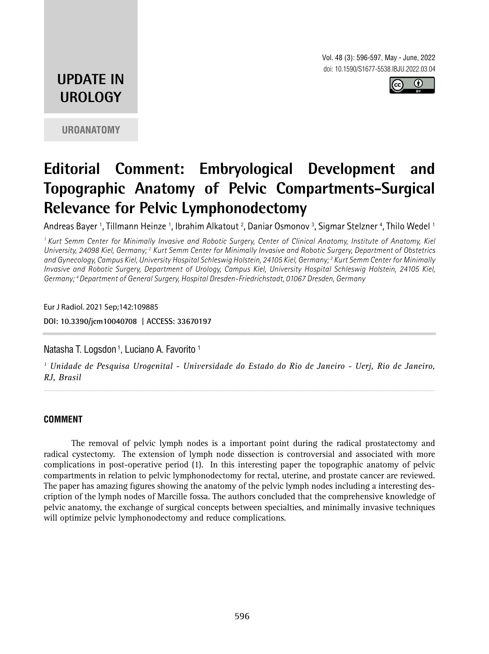Vol. 48 (3): 596-597, May - June, 2022 doi: 10.1590/S1677-5538.IBJU.2022.03.04



# **UPDATE IN UROLOGY**

**UROANATOMY**

# **Editorial Comment: Embryological Development and Topographic Anatomy of Pelvic Compartments-Surgical Relevance for Pelvic Lymphonodectomy**

Andreas Bayer <sup>1</sup>, Tillmann Heinze <sup>1</sup>, Ibrahim Alkatout <sup>2</sup>, Daniar Osmonov <sup>3</sup>, Sigmar Stelzner <sup>4</sup>, Thilo Wedel <sup>1</sup>

*1 Kurt Semm Center for Minimally Invasive and Robotic Surgery, Center of Clinical Anatomy, Institute of Anatomy, Kiel*  University, 24098 Kiel, Germany; <sup>2</sup> Kurt Semm Center for Minimally Invasive and Robotic Surgery, Department of Obstetrics *and Gynecology, Campus Kiel, University Hospital Schleswig Holstein, 24105 Kiel, Germany; 3 Kurt Semm Center for Minimally Invasive and Robotic Surgery, Department of Urology, Campus Kiel, University Hospital Schleswig Holstein, 24105 Kiel, Germany; 4 Department of General Surgery, Hospital Dresden-Friedrichstadt, 01067 Dresden, Germany*

Eur J Radiol. 2021 Sep;142:109885

**DOI: 10.3390/jcm10040708 | ACCESS: 33670197 \_\_\_\_\_\_\_\_\_\_\_\_\_\_\_\_\_\_\_\_\_\_\_\_\_\_\_\_\_\_\_\_\_\_\_\_\_\_\_\_\_\_\_\_\_**

Natasha T. Logsdon<sup>1</sup>, Luciano A. Favorito<sup>1</sup>

*1 Unidade de Pesquisa Urogenital - Universidade do Estado do Rio de Janeiro - Uerj, Rio de Janeiro, RJ, Brasil*

*\_\_\_\_\_\_\_\_\_\_\_\_\_\_\_\_\_\_\_\_\_\_\_\_\_\_\_\_\_\_\_\_\_\_\_\_\_\_\_\_\_\_\_\_\_\_\_\_\_\_\_\_\_\_\_\_\_\_\_\_\_\_\_\_\_\_\_\_\_\_\_\_\_\_\_\_\_\_\_\_\_\_\_\_\_\_\_*

#### **COMMENT**

The removal of pelvic lymph nodes is a important point during the radical prostatectomy and radical cystectomy. The extension of lymph node dissection is controversial and associated with more complications in post-operative period (1). In this interesting paper the topographic anatomy of pelvic compartments in relation to pelvic lymphonodectomy for rectal, uterine, and prostate cancer are reviewed. The paper has amazing figures showing the anatomy of the pelvic lymph nodes including a interesting description of the lymph nodes of Marcille fossa. The authors concluded that the comprehensive knowledge of pelvic anatomy, the exchange of surgical concepts between specialties, and minimally invasive techniques will optimize pelvic lymphonodectomy and reduce complications.